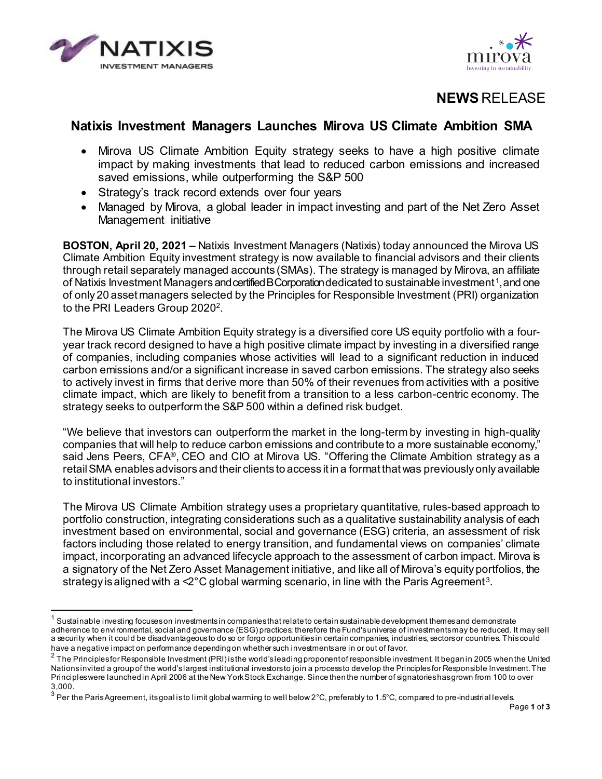



# **NEWS** RELEASE

## **Natixis Investment Managers Launches Mirova US Climate Ambition SMA**

- Mirova US Climate Ambition Equity strategy seeks to have a high positive climate impact by making investments that lead to reduced carbon emissions and increased saved emissions, while outperforming the S&P 500
- Strategy's track record extends over four years
- Managed by Mirova, a global leader in impact investing and part of the Net Zero Asset Management initiative

**BOSTON, April 20, 2021 –** Natixis Investment Managers (Natixis) today announced the Mirova US Climate Ambition Equity investment strategy is now available to financial advisors and their clients through retail separately managed accounts (SMAs). The strategy is managed by Mirova, an affiliate of Natixis Investment Managers and certified B Corporation dedicated to sustainable investment<sup>[1](#page-0-0)</sup>, and one of only 20 asset managers selected by the Principles for Responsible Investment (PRI) organization to the PRI Leaders Group [2](#page-0-1)020<sup>2</sup>.

The Mirova US Climate Ambition Equity strategy is a diversified core US equity portfolio with a fouryear track record designed to have a high positive climate impact by investing in a diversified range of companies, including companies whose activities will lead to a significant reduction in induced carbon emissions and/or a significant increase in saved carbon emissions. The strategy also seeks to actively invest in firms that derive more than 50% of their revenues from activities with a positive climate impact, which are likely to benefit from a transition to a less carbon-centric economy. The strategy seeks to outperform the S&P 500 within a defined risk budget.

"We believe that investors can outperform the market in the long-term by investing in high-quality companies that will help to reduce carbon emissions and contribute to a more sustainable economy," said Jens Peers, CFA®, CEO and CIO at Mirova US. "Offering the Climate Ambition strategy as a retailSMA enables advisors and their clients to access it in a format that was previously only available to institutional investors."

The Mirova US Climate Ambition strategy uses a proprietary quantitative, rules-based approach to portfolio construction, integrating considerations such as a qualitative sustainability analysis of each investment based on environmental, social and governance (ESG) criteria, an assessment of risk factors including those related to energy transition, and fundamental views on companies' climate impact, incorporating an advanced lifecycle approach to the assessment of carbon impact. Mirova is a signatory of the Net Zero Asset Management initiative, and like all of Mirova's equity portfolios, the strategy is aligned with a  $\leq 2^{\circ}C$  global warming scenario, in line with the Paris Agreement<sup>[3](#page-0-2)</sup>.

<span id="page-0-0"></span> $^{\rm 1}$  Sustainable investing focuses on investments in companies that relate to certain sustainable development themes and demonstrate adherence to environmental, social and governance (ESG) practices; therefore the Fund's universe of investments may be reduced. It may sell a security when it could be disadvantageous to do so or forgo opportunities in certain companies, industries, sectors or countries. This could have a negative impact on performance depending on whether such investments are in or out of favor.

<span id="page-0-1"></span><sup>&</sup>lt;sup>2</sup> The Principles for Responsible Investment (PRI) is the world's leading proponent of responsible investment. It began in 2005 when the United Nations invited a group of the world's largest institutional investors to join a process to develop the Principles for Responsible Investment. The Principles were launched in April 2006 at the New York Stock Exchange. Since then the number of signatories has grown from 100 to over 3,000.

<span id="page-0-2"></span> $3$  Per the Paris Agreement, itsgoal is to limit global warming to well below 2°C, preferably to 1.5°C, compared to pre-industrial levels.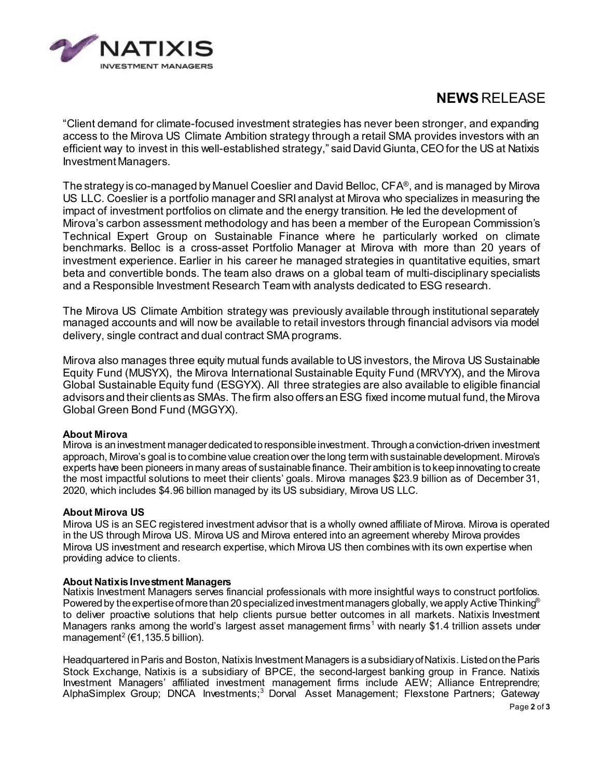

# **NEWS** RELEASE

"Client demand for climate-focused investment strategies has never been stronger, and expanding access to the Mirova US Climate Ambition strategy through a retail SMA provides investors with an efficient way to invest in this well-established strategy," said David Giunta, CEOfor the US at Natixis Investment Managers.

The strategy is co-managed by Manuel Coeslier and David Belloc, CFA®, and is managed by Mirova US LLC. Coeslier is a portfolio manager and SRI analyst at Mirova who specializes in measuring the impact of investment portfolios on climate and the energy transition. He led the development of Mirova's carbon assessment methodology and has been a member of the European Commission's Technical Expert Group on Sustainable Finance where he particularly worked on climate benchmarks. Belloc is a cross-asset Portfolio Manager at Mirova with more than 20 years of investment experience. Earlier in his career he managed strategies in quantitative equities, smart beta and convertible bonds. The team also draws on a global team of multi-disciplinary specialists and a Responsible Investment Research Team with analysts dedicated to ESG research.

The Mirova US Climate Ambition strategy was previously available through institutional separately managed accounts and will now be available to retail investors through financial advisors via model delivery, single contract and dual contract SMA programs.

Mirova also manages three equity mutual funds available to US investors, the Mirova US Sustainable Equity Fund (MUSYX), the Mirova International Sustainable Equity Fund (MRVYX), and the Mirova Global Sustainable Equity fund (ESGYX). All three strategies are also available to eligible financial advisors and their clients as SMAs. The firm also offers an ESG fixed income mutual fund, the Mirova Global Green Bond Fund (MGGYX).

#### **About Mirova**

Mirova is an investment manager dedicated to responsible investment. Through a conviction-driven investment approach, Mirova's goal is to combine value creation over the long term with sustainable development. Mirova's experts have been pioneers in many areas of sustainable finance. Their ambition is to keep innovating to create the most impactful solutions to meet their clients' goals. Mirova manages \$23.9 billion as of December 31, 2020, which includes \$4.96 billion managed by its US subsidiary, Mirova US LLC.

#### **About Mirova US**

Mirova US is an SEC registered investment advisor that is a wholly owned affiliate of Mirova. Mirova is operated in the US through Mirova US. Mirova US and Mirova entered into an agreement whereby Mirova provides Mirova US investment and research expertise, which Mirova US then combines with its own expertise when providing advice to clients.

#### **About NatixisInvestment Managers**

Natixis Investment Managers serves financial professionals with more insightful ways to construct portfolios. Powered by the expertise of more than 20 specialized investment managers globally, we apply Active Thinking<sup>®</sup> to deliver proactive solutions that help clients pursue better outcomes in all markets. Natixis Investment Managers ranks among the world's largest asset management firms<sup>1</sup> with nearly \$1.4 trillion assets under management<sup>2</sup> ( $\epsilon$ 1, 135.5 billion).

Headquartered in Paris and Boston, Natixis Investment Managers is a subsidiary of Natixis. Listed on the Paris Stock Exchange, Natixis is a subsidiary of BPCE, the second-largest banking group in France. Natixis Investment Managers' affiliated investment management firms include AEW; Alliance Entreprendre; AlphaSimplex Group; DNCA Investments;<sup>3</sup> Dorval Asset Management; Flexstone Partners; Gateway